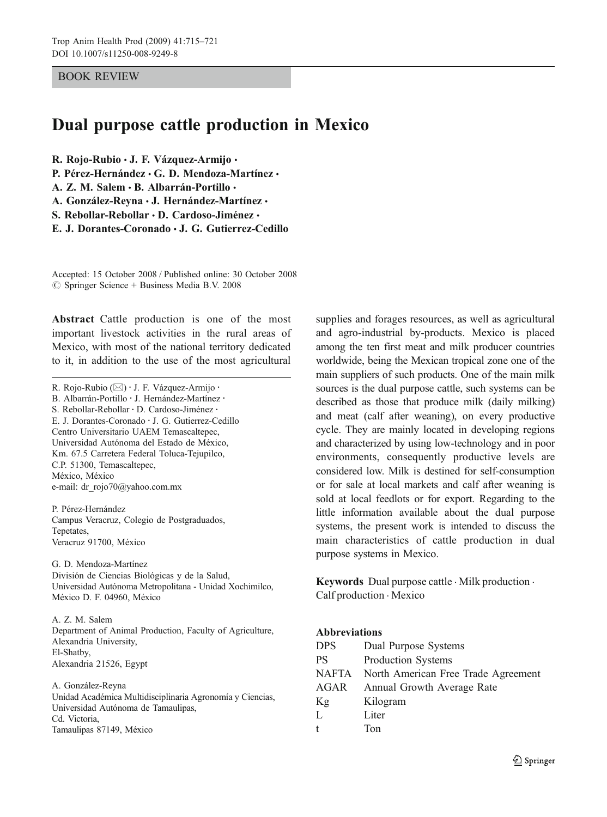# BOOK REVIEW

# Dual purpose cattle production in Mexico

R. Rojo-Rubio · J. F. Vázquez-Armijo ·

P. Pérez-Hernández · G. D. Mendoza-Martínez ·

A. Z. M. Salem · B. Albarrán-Portillo ·

A. González-Reyna · J. Hernández-Martínez ·

S. Rebollar-Rebollar · D. Cardoso-Jiménez ·

E. J. Dorantes-Coronado · J. G. Gutierrez-Cedillo

Accepted: 15 October 2008 / Published online: 30 October 2008  $\oslash$  Springer Science + Business Media B.V. 2008

Abstract Cattle production is one of the most important livestock activities in the rural areas of Mexico, with most of the national territory dedicated to it, in addition to the use of the most agricultural

R. Rojo-Rubio (*\**) : J. F. Vázquez-Armijo : B. Albarrán-Portillo · J. Hernández-Martínez · S. Rebollar-Rebollar : D. Cardoso-Jiménez : E. J. Dorantes-Coronado : J. G. Gutierrez-Cedillo Centro Universitario UAEM Temascaltepec, Universidad Autónoma del Estado de México, Km. 67.5 Carretera Federal Toluca-Tejupilco, C.P. 51300, Temascaltepec, México, México e-mail: dr\_rojo70@yahoo.com.mx

P. Pérez-Hernández Campus Veracruz, Colegio de Postgraduados, Tepetates, Veracruz 91700, México

G. D. Mendoza-Martínez División de Ciencias Biológicas y de la Salud, Universidad Autónoma Metropolitana - Unidad Xochimilco, México D. F. 04960, México

A. Z. M. Salem Department of Animal Production, Faculty of Agriculture, Alexandria University, El-Shatby, Alexandria 21526, Egypt

A. González-Reyna Unidad Académica Multidisciplinaria Agronomía y Ciencias, Universidad Autónoma de Tamaulipas, Cd. Victoria, Tamaulipas 87149, México

supplies and forages resources, as well as agricultural and agro-industrial by-products. Mexico is placed among the ten first meat and milk producer countries worldwide, being the Mexican tropical zone one of the main suppliers of such products. One of the main milk sources is the dual purpose cattle, such systems can be described as those that produce milk (daily milking) and meat (calf after weaning), on every productive cycle. They are mainly located in developing regions and characterized by using low-technology and in poor environments, consequently productive levels are considered low. Milk is destined for self-consumption or for sale at local markets and calf after weaning is sold at local feedlots or for export. Regarding to the little information available about the dual purpose systems, the present work is intended to discuss the main characteristics of cattle production in dual purpose systems in Mexico.

Keywords Dual purpose cattle  $\cdot$  Milk production  $\cdot$ Calf production . Mexico

## Abbreviations

| <b>DPS</b>   | Dual Purpose Systems                |
|--------------|-------------------------------------|
| <b>PS</b>    | Production Systems                  |
| <b>NAFTA</b> | North American Free Trade Agreement |
| AGAR         | Annual Growth Average Rate          |
| Kg           | Kilogram                            |
| L            | Liter                               |
| t            | Ton                                 |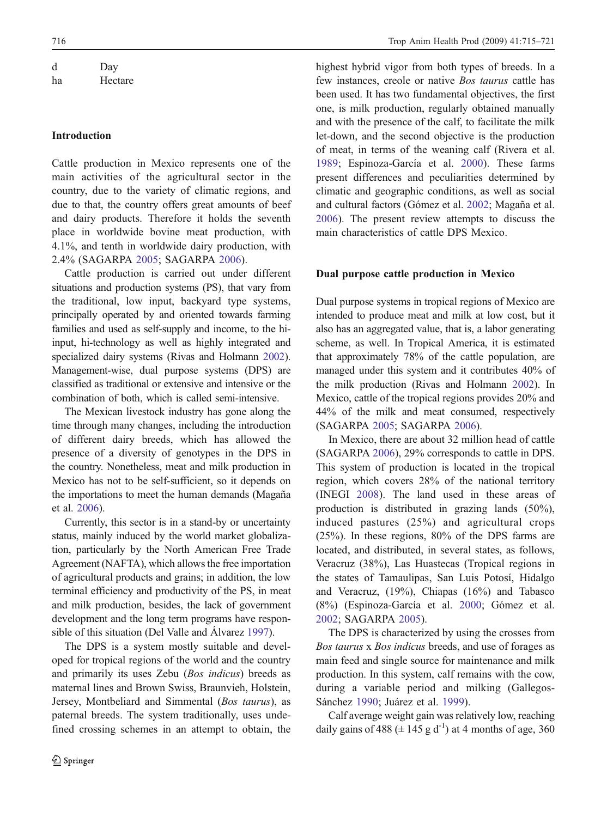| d  | Day     |  |  |
|----|---------|--|--|
| ha | Hectare |  |  |

## Introduction

Cattle production in Mexico represents one of the main activities of the agricultural sector in the country, due to the variety of climatic regions, and due to that, the country offers great amounts of beef and dairy products. Therefore it holds the seventh place in worldwide bovine meat production, with 4.1%, and tenth in worldwide dairy production, with 2.4% (SAGARPA [2005](#page-6-0); SAGARPA [2006](#page-6-0)).

Cattle production is carried out under different situations and production systems (PS), that vary from the traditional, low input, backyard type systems, principally operated by and oriented towards farming families and used as self-supply and income, to the hiinput, hi-technology as well as highly integrated and specialized dairy systems (Rivas and Holmann [2002](#page-5-0)). Management-wise, dual purpose systems (DPS) are classified as traditional or extensive and intensive or the combination of both, which is called semi-intensive.

The Mexican livestock industry has gone along the time through many changes, including the introduction of different dairy breeds, which has allowed the presence of a diversity of genotypes in the DPS in the country. Nonetheless, meat and milk production in Mexico has not to be self-sufficient, so it depends on the importations to meet the human demands (Magaña et al. [2006](#page-5-0)).

Currently, this sector is in a stand-by or uncertainty status, mainly induced by the world market globalization, particularly by the North American Free Trade Agreement (NAFTA), which allows the free importation of agricultural products and grains; in addition, the low terminal efficiency and productivity of the PS, in meat and milk production, besides, the lack of government development and the long term programs have responsible of this situation (Del Valle and Álvarez [1997](#page-5-0)).

The DPS is a system mostly suitable and developed for tropical regions of the world and the country and primarily its uses Zebu (Bos indicus) breeds as maternal lines and Brown Swiss, Braunvieh, Holstein, Jersey, Montbeliard and Simmental (Bos taurus), as paternal breeds. The system traditionally, uses undefined crossing schemes in an attempt to obtain, the highest hybrid vigor from both types of breeds. In a few instances, creole or native Bos taurus cattle has been used. It has two fundamental objectives, the first one, is milk production, regularly obtained manually and with the presence of the calf, to facilitate the milk let-down, and the second objective is the production of meat, in terms of the weaning calf (Rivera et al. [1989](#page-5-0); Espinoza-García et al. [2000](#page-5-0)). These farms present differences and peculiarities determined by climatic and geographic conditions, as well as social and cultural factors (Gómez et al. [2002](#page-5-0); Magaña et al. [2006](#page-5-0)). The present review attempts to discuss the main characteristics of cattle DPS Mexico.

## Dual purpose cattle production in Mexico

Dual purpose systems in tropical regions of Mexico are intended to produce meat and milk at low cost, but it also has an aggregated value, that is, a labor generating scheme, as well. In Tropical America, it is estimated that approximately 78% of the cattle population, are managed under this system and it contributes 40% of the milk production (Rivas and Holmann [2002](#page-5-0)). In Mexico, cattle of the tropical regions provides 20% and 44% of the milk and meat consumed, respectively (SAGARPA [2005](#page-6-0); SAGARPA [2006](#page-6-0)).

In Mexico, there are about 32 million head of cattle (SAGARPA [2006](#page-6-0)), 29% corresponds to cattle in DPS. This system of production is located in the tropical region, which covers 28% of the national territory (INEGI [2008](#page-5-0)). The land used in these areas of production is distributed in grazing lands (50%), induced pastures (25%) and agricultural crops (25%). In these regions, 80% of the DPS farms are located, and distributed, in several states, as follows, Veracruz (38%), Las Huastecas (Tropical regions in the states of Tamaulipas, San Luis Potosí, Hidalgo and Veracruz, (19%), Chiapas (16%) and Tabasco (8%) (Espinoza-García et al. [2000](#page-5-0); Gómez et al. [2002](#page-5-0); SAGARPA [2005](#page-6-0)).

The DPS is characterized by using the crosses from Bos taurus x Bos indicus breeds, and use of forages as main feed and single source for maintenance and milk production. In this system, calf remains with the cow, during a variable period and milking (Gallegos-Sánchez [1990](#page-5-0); Juárez et al. [1999](#page-5-0)).

Calf average weight gain was relatively low, reaching daily gains of 488 ( $\pm$  145 g d<sup>-1</sup>) at 4 months of age, 360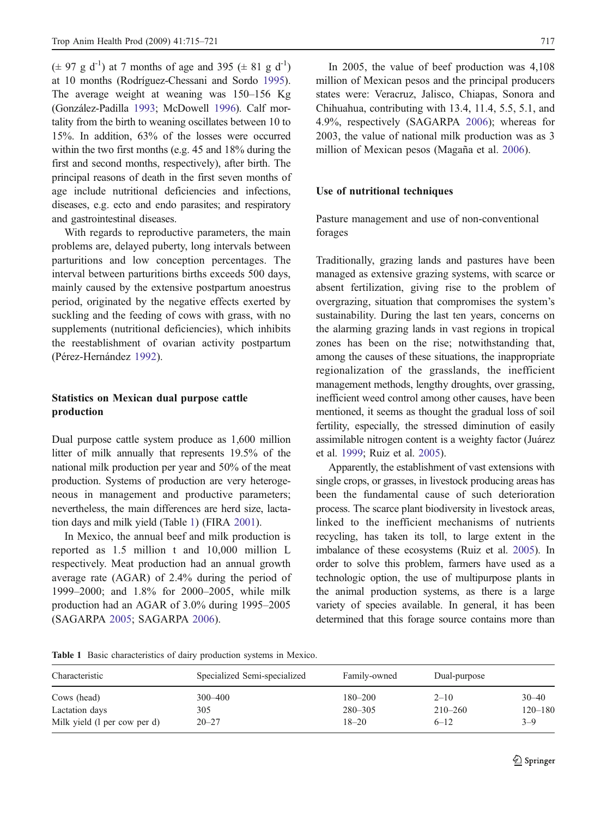$(\pm 97 \text{ g d}^{-1})$  at 7 months of age and 395 ( $\pm 81 \text{ g d}^{-1}$ ) at 10 months (Rodríguez-Chessani and Sordo [1995](#page-5-0)). The average weight at weaning was 150–156 Kg (González-Padilla [1993](#page-5-0); McDowell [1996](#page-5-0)). Calf mortality from the birth to weaning oscillates between 10 to 15%. In addition, 63% of the losses were occurred within the two first months (e.g. 45 and 18% during the first and second months, respectively), after birth. The principal reasons of death in the first seven months of age include nutritional deficiencies and infections, diseases, e.g. ecto and endo parasites; and respiratory and gastrointestinal diseases.

With regards to reproductive parameters, the main problems are, delayed puberty, long intervals between parturitions and low conception percentages. The interval between parturitions births exceeds 500 days, mainly caused by the extensive postpartum anoestrus period, originated by the negative effects exerted by suckling and the feeding of cows with grass, with no supplements (nutritional deficiencies), which inhibits the reestablishment of ovarian activity postpartum (Pérez-Hernández [1992](#page-5-0)).

# Statistics on Mexican dual purpose cattle production

Dual purpose cattle system produce as 1,600 million litter of milk annually that represents 19.5% of the national milk production per year and 50% of the meat production. Systems of production are very heterogeneous in management and productive parameters; nevertheless, the main differences are herd size, lactation days and milk yield (Table 1) (FIRA [2001](#page-5-0)).

In Mexico, the annual beef and milk production is reported as 1.5 million t and 10,000 million L respectively. Meat production had an annual growth average rate (AGAR) of 2.4% during the period of 1999–2000; and 1.8% for 2000–2005, while milk production had an AGAR of 3.0% during 1995–2005 (SAGARPA [2005](#page-6-0); SAGARPA [2006](#page-6-0)).

In 2005, the value of beef production was 4,108 million of Mexican pesos and the principal producers states were: Veracruz, Jalisco, Chiapas, Sonora and Chihuahua, contributing with 13.4, 11.4, 5.5, 5.1, and 4.9%, respectively (SAGARPA [2006](#page-6-0)); whereas for 2003, the value of national milk production was as 3 million of Mexican pesos (Magaña et al. [2006](#page-5-0)).

## Use of nutritional techniques

Pasture management and use of non-conventional forages

Traditionally, grazing lands and pastures have been managed as extensive grazing systems, with scarce or absent fertilization, giving rise to the problem of overgrazing, situation that compromises the system's sustainability. During the last ten years, concerns on the alarming grazing lands in vast regions in tropical zones has been on the rise; notwithstanding that, among the causes of these situations, the inappropriate regionalization of the grasslands, the inefficient management methods, lengthy droughts, over grassing, inefficient weed control among other causes, have been mentioned, it seems as thought the gradual loss of soil fertility, especially, the stressed diminution of easily assimilable nitrogen content is a weighty factor (Juárez et al. [1999](#page-5-0); Ruiz et al. [2005](#page-6-0)).

Apparently, the establishment of vast extensions with single crops, or grasses, in livestock producing areas has been the fundamental cause of such deterioration process. The scarce plant biodiversity in livestock areas, linked to the inefficient mechanisms of nutrients recycling, has taken its toll, to large extent in the imbalance of these ecosystems (Ruiz et al. [2005](#page-6-0)). In order to solve this problem, farmers have used as a technologic option, the use of multipurpose plants in the animal production systems, as there is a large variety of species available. In general, it has been determined that this forage source contains more than

Table 1 Basic characteristics of dairy production systems in Mexico.

| Characteristic               | Specialized Semi-specialized | Family-owned | Dual-purpose |             |
|------------------------------|------------------------------|--------------|--------------|-------------|
| Cows (head)                  | $300 - 400$                  | $180 - 200$  | $2 - 10$     | $30 - 40$   |
| Lactation days               | 305                          | $280 - 305$  | $210 - 260$  | $120 - 180$ |
| Milk yield (1 per cow per d) | $20 - 27$                    | $18 - 20$    | $6 - 12$     | $3 - 9$     |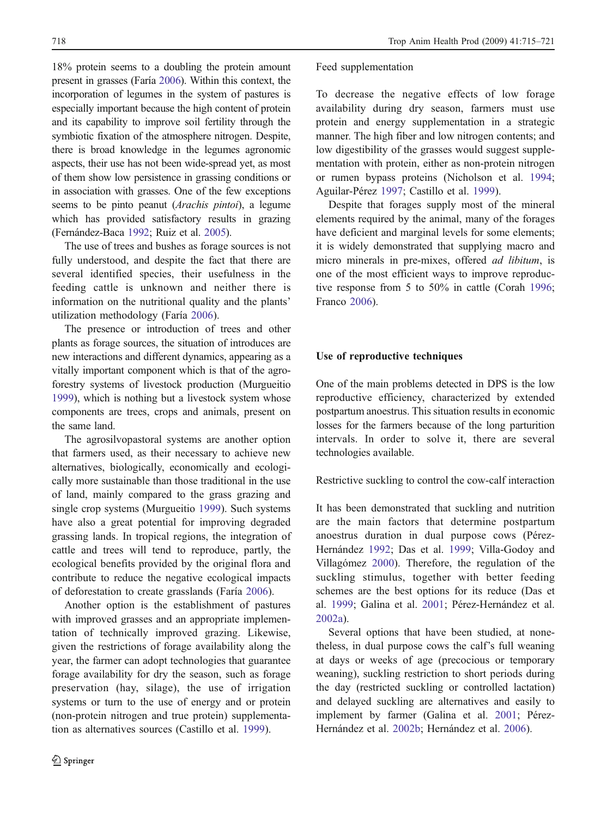18% protein seems to a doubling the protein amount present in grasses (Faría [2006](#page-5-0)). Within this context, the incorporation of legumes in the system of pastures is especially important because the high content of protein and its capability to improve soil fertility through the symbiotic fixation of the atmosphere nitrogen. Despite, there is broad knowledge in the legumes agronomic aspects, their use has not been wide-spread yet, as most of them show low persistence in grassing conditions or in association with grasses. One of the few exceptions seems to be pinto peanut (Arachis pintoi), a legume which has provided satisfactory results in grazing (Fernández-Baca [1992](#page-5-0); Ruiz et al. [2005](#page-6-0)).

The use of trees and bushes as forage sources is not fully understood, and despite the fact that there are several identified species, their usefulness in the feeding cattle is unknown and neither there is information on the nutritional quality and the plants' utilization methodology (Faría [2006](#page-5-0)).

The presence or introduction of trees and other plants as forage sources, the situation of introduces are new interactions and different dynamics, appearing as a vitally important component which is that of the agroforestry systems of livestock production (Murgueitio [1999](#page-5-0)), which is nothing but a livestock system whose components are trees, crops and animals, present on the same land.

The agrosilvopastoral systems are another option that farmers used, as their necessary to achieve new alternatives, biologically, economically and ecologically more sustainable than those traditional in the use of land, mainly compared to the grass grazing and single crop systems (Murgueitio [1999](#page-5-0)). Such systems have also a great potential for improving degraded grassing lands. In tropical regions, the integration of cattle and trees will tend to reproduce, partly, the ecological benefits provided by the original flora and contribute to reduce the negative ecological impacts of deforestation to create grasslands (Faría [2006](#page-5-0)).

Another option is the establishment of pastures with improved grasses and an appropriate implementation of technically improved grazing. Likewise, given the restrictions of forage availability along the year, the farmer can adopt technologies that guarantee forage availability for dry the season, such as forage preservation (hay, silage), the use of irrigation systems or turn to the use of energy and or protein (non-protein nitrogen and true protein) supplementation as alternatives sources (Castillo et al. [1999](#page-5-0)).

#### Feed supplementation

To decrease the negative effects of low forage availability during dry season, farmers must use protein and energy supplementation in a strategic manner. The high fiber and low nitrogen contents; and low digestibility of the grasses would suggest supplementation with protein, either as non-protein nitrogen or rumen bypass proteins (Nicholson et al. [1994](#page-5-0); Aguilar-Pérez [1997](#page-5-0); Castillo et al. [1999](#page-5-0)).

Despite that forages supply most of the mineral elements required by the animal, many of the forages have deficient and marginal levels for some elements; it is widely demonstrated that supplying macro and micro minerals in pre-mixes, offered ad libitum, is one of the most efficient ways to improve reproductive response from 5 to 50% in cattle (Corah [1996](#page-5-0); Franco [2006](#page-5-0)).

#### Use of reproductive techniques

One of the main problems detected in DPS is the low reproductive efficiency, characterized by extended postpartum anoestrus. This situation results in economic losses for the farmers because of the long parturition intervals. In order to solve it, there are several technologies available.

Restrictive suckling to control the cow-calf interaction

It has been demonstrated that suckling and nutrition are the main factors that determine postpartum anoestrus duration in dual purpose cows (Pérez-Hernández [1992](#page-5-0); Das et al. [1999](#page-5-0); Villa-Godoy and Villagómez [2000](#page-6-0)). Therefore, the regulation of the suckling stimulus, together with better feeding schemes are the best options for its reduce (Das et al. [1999](#page-5-0); Galina et al. [2001](#page-5-0); Pérez-Hernández et al. [2002a](#page-5-0)).

Several options that have been studied, at nonetheless, in dual purpose cows the calf's full weaning at days or weeks of age (precocious or temporary weaning), suckling restriction to short periods during the day (restricted suckling or controlled lactation) and delayed suckling are alternatives and easily to implement by farmer (Galina et al. [2001](#page-5-0); Pérez-Hernández et al. [2002b](#page-5-0); Hernández et al. [2006](#page-5-0)).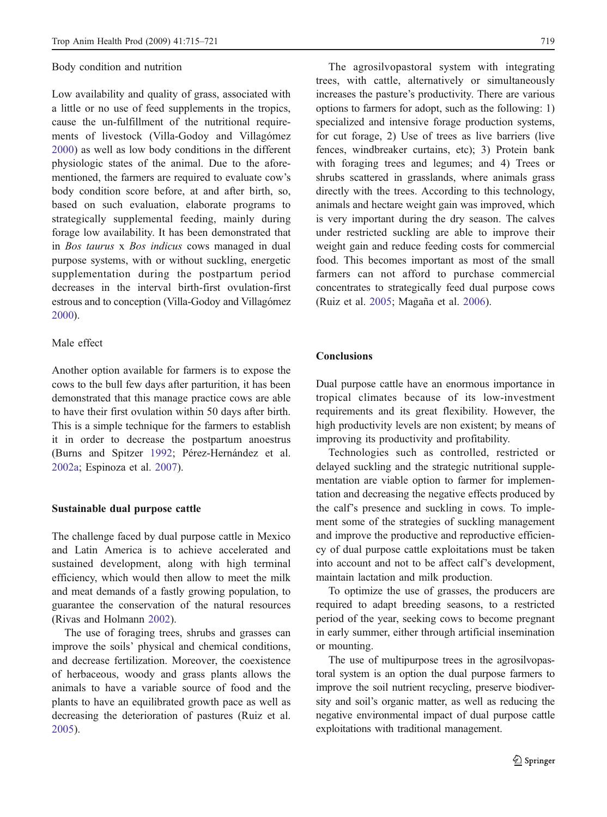#### Body condition and nutrition

Low availability and quality of grass, associated with a little or no use of feed supplements in the tropics, cause the un-fulfillment of the nutritional requirements of livestock (Villa-Godoy and Villagómez [2000](#page-6-0)) as well as low body conditions in the different physiologic states of the animal. Due to the aforementioned, the farmers are required to evaluate cow's body condition score before, at and after birth, so, based on such evaluation, elaborate programs to strategically supplemental feeding, mainly during forage low availability. It has been demonstrated that in Bos taurus x Bos indicus cows managed in dual purpose systems, with or without suckling, energetic supplementation during the postpartum period decreases in the interval birth-first ovulation-first estrous and to conception (Villa-Godoy and Villagómez [2000](#page-6-0)).

# Male effect

Another option available for farmers is to expose the cows to the bull few days after parturition, it has been demonstrated that this manage practice cows are able to have their first ovulation within 50 days after birth. This is a simple technique for the farmers to establish it in order to decrease the postpartum anoestrus (Burns and Spitzer [1992](#page-5-0); Pérez-Hernández et al. [2002a](#page-5-0); Espinoza et al. [2007](#page-5-0)).

## Sustainable dual purpose cattle

The challenge faced by dual purpose cattle in Mexico and Latin America is to achieve accelerated and sustained development, along with high terminal efficiency, which would then allow to meet the milk and meat demands of a fastly growing population, to guarantee the conservation of the natural resources (Rivas and Holmann [2002](#page-5-0)).

The use of foraging trees, shrubs and grasses can improve the soils' physical and chemical conditions, and decrease fertilization. Moreover, the coexistence of herbaceous, woody and grass plants allows the animals to have a variable source of food and the plants to have an equilibrated growth pace as well as decreasing the deterioration of pastures (Ruiz et al. [2005](#page-6-0)).

The agrosilvopastoral system with integrating trees, with cattle, alternatively or simultaneously increases the pasture's productivity. There are various options to farmers for adopt, such as the following: 1) specialized and intensive forage production systems, for cut forage, 2) Use of trees as live barriers (live fences, windbreaker curtains, etc); 3) Protein bank with foraging trees and legumes; and 4) Trees or shrubs scattered in grasslands, where animals grass directly with the trees. According to this technology, animals and hectare weight gain was improved, which is very important during the dry season. The calves under restricted suckling are able to improve their weight gain and reduce feeding costs for commercial food. This becomes important as most of the small farmers can not afford to purchase commercial concentrates to strategically feed dual purpose cows (Ruiz et al. [2005](#page-6-0); Magaña et al. [2006](#page-5-0)).

#### **Conclusions**

Dual purpose cattle have an enormous importance in tropical climates because of its low-investment requirements and its great flexibility. However, the high productivity levels are non existent; by means of improving its productivity and profitability.

Technologies such as controlled, restricted or delayed suckling and the strategic nutritional supplementation are viable option to farmer for implementation and decreasing the negative effects produced by the calf's presence and suckling in cows. To implement some of the strategies of suckling management and improve the productive and reproductive efficiency of dual purpose cattle exploitations must be taken into account and not to be affect calf's development, maintain lactation and milk production.

To optimize the use of grasses, the producers are required to adapt breeding seasons, to a restricted period of the year, seeking cows to become pregnant in early summer, either through artificial insemination or mounting.

The use of multipurpose trees in the agrosilvopastoral system is an option the dual purpose farmers to improve the soil nutrient recycling, preserve biodiversity and soil's organic matter, as well as reducing the negative environmental impact of dual purpose cattle exploitations with traditional management.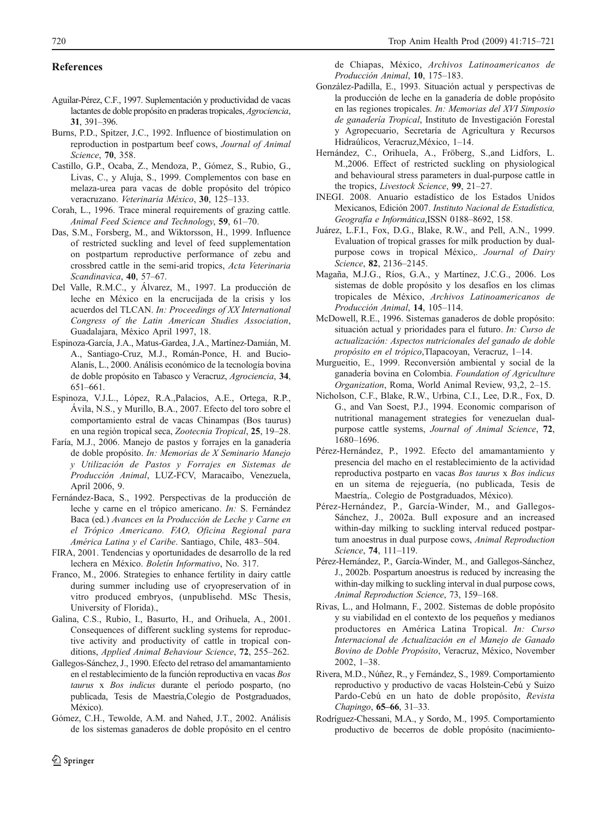### <span id="page-5-0"></span>References

- Aguilar-Pérez, C.F., 1997. Suplementación y productividad de vacas lactantes de doble propósito en praderas tropicales, Agrociencia, 31, 391–396.
- Burns, P.D., Spitzer, J.C., 1992. Influence of biostimulation on reproduction in postpartum beef cows, Journal of Animal Science, 70, 358.
- Castillo, G.P., Ocaba, Z., Mendoza, P., Gómez, S., Rubio, G., Livas, C., y Aluja, S., 1999. Complementos con base en melaza-urea para vacas de doble propósito del trópico veracruzano. Veterinaria México, 30, 125–133.
- Corah, L., 1996. Trace mineral requirements of grazing cattle. Animal Feed Science and Technology, 59, 61–70.
- Das, S.M., Forsberg, M., and Wiktorsson, H., 1999. Influence of restricted suckling and level of feed supplementation on postpartum reproductive performance of zebu and crossbred cattle in the semi-arid tropics, Acta Veterinaria Scandinavica, 40, 57–67.
- Del Valle, R.M.C., y Álvarez, M., 1997. La producción de leche en México en la encrucijada de la crisis y los acuerdos del TLCAN. In: Proceedings of XX International Congress of the Latin American Studies Association, Guadalajara, México April 1997, 18.
- Espinoza-García, J.A., Matus-Gardea, J.A., Martínez-Damián, M. A., Santiago-Cruz, M.J., Román-Ponce, H. and Bucio-Alanís, L., 2000. Análisis económico de la tecnología bovina de doble propósito en Tabasco y Veracruz, Agrociencia, 34, 651–661.
- Espinoza, V.J.L., López, R.A.,Palacios, A.E., Ortega, R.P., Ávila, N.S., y Murillo, B.A., 2007. Efecto del toro sobre el comportamiento estral de vacas Chinampas (Bos taurus) en una región tropical seca, Zootecnia Tropical, 25, 19–28.
- Faría, M.J., 2006. Manejo de pastos y forrajes en la ganadería de doble propósito. In: Memorias de X Seminario Manejo y Utilización de Pastos y Forrajes en Sistemas de Producción Animal, LUZ-FCV, Maracaibo, Venezuela, April 2006, 9.
- Fernández-Baca, S., 1992. Perspectivas de la producción de leche y carne en el trópico americano. In: S. Fernández Baca (ed.) Avances en la Producción de Leche y Carne en el Trópico Americano. FAO, Oficina Regional para América Latina y el Caribe. Santiago, Chile, 483–504.
- FIRA, 2001. Tendencias y oportunidades de desarrollo de la red lechera en México. Boletín Informativo, No. 317.
- Franco, M., 2006. Strategies to enhance fertility in dairy cattle during summer including use of cryopreservation of in vitro produced embryos, (unpublisehd. MSc Thesis, University of Florida).,
- Galina, C.S., Rubio, I., Basurto, H., and Orihuela, A., 2001. Consequences of different suckling systems for reproductive activity and productivity of cattle in tropical conditions, Applied Animal Behaviour Science, 72, 255–262.
- Gallegos-Sánchez, J., 1990. Efecto del retraso del amamantamiento en el restablecimiento de la función reproductiva en vacas Bos taurus x Bos indicus durante el período posparto, (no publicada, Tesis de Maestría,Colegio de Postgraduados, México).
- Gómez, C.H., Tewolde, A.M. and Nahed, J.T., 2002. Análisis de los sistemas ganaderos de doble propósito en el centro

de Chiapas, México, Archivos Latinoamericanos de Producción Animal, 10, 175–183.

- González-Padilla, E., 1993. Situación actual y perspectivas de la producción de leche en la ganadería de doble propósito en las regiones tropicales. In: Memorias del XVI Simposio de ganadería Tropical, Instituto de Investigación Forestal y Agropecuario, Secretaría de Agricultura y Recursos Hidraúlicos, Veracruz,México, 1–14.
- Hernández, C., Orihuela, A., Fröberg, S.,and Lidfors, L. M.,2006. Effect of restricted suckling on physiological and behavioural stress parameters in dual-purpose cattle in the tropics, Livestock Science, 99, 21-27.
- INEGI. 2008. Anuario estadístico de los Estados Unidos Mexicanos, Edición 2007. Instituto Nacional de Estadística, Geografía e Informática,ISSN 0188–8692, 158.
- Juárez, L.F.I., Fox, D.G., Blake, R.W., and Pell, A.N., 1999. Evaluation of tropical grasses for milk production by dualpurpose cows in tropical México,. Journal of Dairy Science, 82, 2136–2145.
- Magaña, M.J.G., Ríos, G.A., y Martínez, J.C.G., 2006. Los sistemas de doble propósito y los desafíos en los climas tropicales de México, Archivos Latinoamericanos de Producción Animal, 14, 105–114.
- McDowell, R.E., 1996. Sistemas ganaderos de doble propósito: situación actual y prioridades para el futuro. In: Curso de actualización: Aspectos nutricionales del ganado de doble propósito en el trópico,Tlapacoyan, Veracruz, 1–14.
- Murgueitio, E., 1999. Reconversión ambiental y social de la ganadería bovina en Colombia. Foundation of Agriculture Organization, Roma, World Animal Review, 93,2, 2–15.
- Nicholson, C.F., Blake, R.W., Urbina, C.I., Lee, D.R., Fox, D. G., and Van Soest, P.J., 1994. Economic comparison of nutritional management strategies for venezuelan dualpurpose cattle systems, Journal of Animal Science, 72, 1680–1696.
- Pérez-Hernández, P., 1992. Efecto del amamantamiento y presencia del macho en el restablecimiento de la actividad reproductiva postparto en vacas Bos taurus x Bos indicus en un sitema de rejeguería, (no publicada, Tesis de Maestría,. Colegio de Postgraduados, México).
- Pérez-Hernández, P., García-Winder, M., and Gallegos-Sánchez, J., 2002a. Bull exposure and an increased within-day milking to suckling interval reduced postpartum anoestrus in dual purpose cows, Animal Reproduction Science, 74, 111–119.
- Pérez-Hernández, P., García-Winder, M., and Gallegos-Sánchez, J., 2002b. Pospartum anoestrus is reduced by increasing the within-day milking to suckling interval in dual purpose cows, Animal Reproduction Science, 73, 159–168.
- Rivas, L., and Holmann, F., 2002. Sistemas de doble propósito y su viabilidad en el contexto de los pequeños y medianos productores en América Latina Tropical. In: Curso Internacional de Actualización en el Manejo de Ganado Bovino de Doble Propósito, Veracruz, México, November 2002, 1–38.
- Rivera, M.D., Núñez, R., y Fernández, S., 1989. Comportamiento reproductivo y productivo de vacas Holstein-Cebú y Suizo Pardo-Cebú en un hato de doble propósito, Revista Chapingo, 65*–*66, 31–33.
- Rodríguez-Chessani, M.A., y Sordo, M., 1995. Comportamiento productivo de becerros de doble propósito (nacimiento-